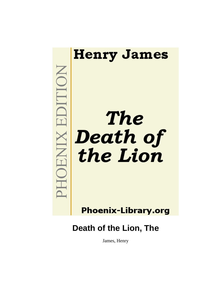

**Phoenix-Library.org** 

**Death of the Lion, The**

James, Henry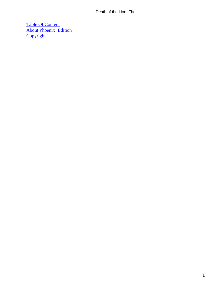[Table Of Content](#page-34-0) [About Phoenix−Edition](#page-35-0) **[Copyright](#page-38-0)**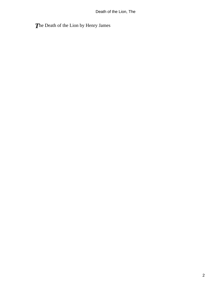*T*he Death of the Lion by Henry James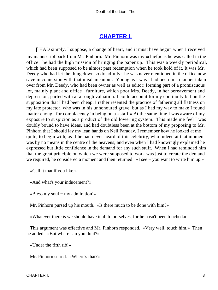## **[CHAPTER I.](#page-34-0)**

<span id="page-3-0"></span>*I* HAD simply, I suppose, a change of heart, and it must have begun when I received my manuscript back from Mr. Pinhorn. Mr. Pinhorn was my «chief,» as he was called in the office: he had the high mission of bringing the paper up. This was a weekly periodical, which had been supposed to be almost past redemption when he took hold of it. It was Mr. Deedy who had let the thing down so dreadfully: he was never mentioned in the office now save in connexion with that misdemeanour. Young as I was I had been in a manner taken over from Mr. Deedy, who had been owner as well as editor; forming part of a promiscuous lot, mainly plant and office− furniture, which poor Mrs. Deedy, in her bereavement and depression, parted with at a rough valuation. I could account for my continuity but on the supposition that I had been cheap. I rather resented the practice of fathering all flatness on my late protector, who was in his unhonoured grave; but as I had my way to make I found matter enough for complacency in being on a «staff.» At the same time I was aware of my exposure to suspicion as a product of the old lowering system. This made me feel I was doubly bound to have ideas, and had doubtless been at the bottom of my proposing to Mr. Pinhorn that I should lay my lean hands on Neil Paraday. I remember how he looked at me − quite, to begin with, as if he had never heard of this celebrity, who indeed at that moment was by no means in the centre of the heavens; and even when I had knowingly explained he expressed but little confidence in the demand for any such stuff. When I had reminded him that the great principle on which we were supposed to work was just to create the demand we required, he considered a moment and then returned: «I see − you want to write him up.»

«Call it that if you like.»

«And what's your inducement?»

«Bless my soul − my admiration!»

Mr. Pinhorn pursed up his mouth. «Is there much to be done with him?»

«Whatever there is we should have it all to ourselves, for he hasn't been touched.»

 This argument was effective and Mr. Pinhorn responded. «Very well, touch him.» Then he added: «But where can you do it?»

«Under the fifth rib!»

Mr. Pinhorn stared. «Where's that?»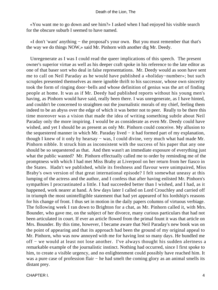«You want me to go down and see him?» I asked when I had enjoyed his visible search for the obscure suburb I seemed to have named.

 «I don't 'want' anything − the proposal's your own. But you must remember that that's the way we do things NOW,» said Mr. Pinhorn with another dig Mr. Deedy.

 Unregenerate as I was I could read the queer implications of this speech. The present owner's superior virtue as well as his deeper craft spoke in his reference to the late editor as one of that baser sort who deal in false representations. Mr. Deedy would as soon have sent me to call on Neil Paraday as he would have published a «holiday−number»; but such scruples presented themselves as mere ignoble thrift to his successor, whose own sincerity took the form of ringing door−bells and whose definition of genius was the art of finding people at home. It was as if Mr. Deedy had published reports without his young men's having, as Pinhorn would have said, really been there. I was unregenerate, as I have hinted, and couldn't be concerned to straighten out the journalistic morals of my chief, feeling them indeed to be an abyss over the edge of which it was better not to peer. Really to be there this time moreover was a vision that made the idea of writing something subtle about Neil Paraday only the more inspiring. I would be as considerate as even Mr. Deedy could have wished, and yet I should be as present as only Mr. Pinhorn could conceive. My allusion to the sequestered manner in which Mr. Paraday lived − it had formed part of my explanation, though I knew of it only by hearsay − was, I could divine, very much what had made Mr. Pinhorn nibble. It struck him as inconsistent with the success of his paper that any one should be so sequestered as that. And then wasn't an immediate exposure of everything just what the public wanted? Mr. Pinhorn effectually called me to order by reminding me of the promptness with which I had met Miss Braby at Liverpool on her return from her fiasco in the States. Hadn't we published, while its freshness and flavour were unimpaired, Miss Braby's own version of that great international episode? I felt somewhat uneasy at this lumping of the actress and the author, and I confess that after having enlisted Mr. Pinhorn's sympathies I procrastinated a little. I had succeeded better than I wished, and I had, as it happened, work nearer at hand. A few days later I called on Lord Crouchley and carried off in triumph the most unintelligible statement that had yet appeared of his lordship's reasons for his change of front. I thus set in motion in the daily papers columns of virtuous verbiage. The following week I ran down to Brighton for a chat, as Mr. Pinhorn called it, with Mrs. Bounder, who gave me, on the subject of her divorce, many curious particulars that had not been articulated in court. If ever an article flowed from the primal fount it was that article on Mrs. Bounder. By this time, however, I became aware that Neil Paraday's new book was on the point of appearing and that its approach had been the ground of my original appeal to Mr. Pinhorn, who was now annoyed with me for having lost so many days. He bundled me off − we would at least not lose another. I've always thought his sudden alertness a remarkable example of the journalistic instinct. Nothing had occurred, since I first spoke to him, to create a visible urgency, and no enlightenment could possibly have reached him. It was a pure case of profession flair – he had smelt the coming glory as an animal smells its distant prey.

CHAPTER I. 4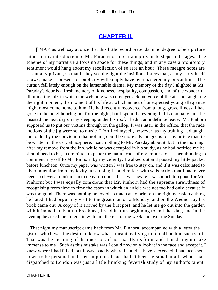## **[CHAPTER II.](#page-34-0)**

<span id="page-5-0"></span>*I* MAY as well say at once that this little record pretends in no degree to be a picture either of my introduction to Mr. Paraday or of certain proximate steps and stages. The scheme of my narrative allows no space for these things, and in any case a prohibitory sentiment would hang about my recollection of so rare an hour. These meagre notes are essentially private, so that if they see the light the insidious forces that, as my story itself shows, make at present for publicity will simply have overmastered my precautions. The curtain fell lately enough on the lamentable drama. My memory of the day I alighted at Mr. Paraday's door is a fresh memory of kindness, hospitality, compassion, and of the wonderful illuminating talk in which the welcome was conveyed. Some voice of the air had taught me the right moment, the moment of his life at which an act of unexpected young allegiance might most come home to him. He had recently recovered from a long, grave illness. I had gone to the neighbouring inn for the night, but I spent the evening in his company, and he insisted the next day on my sleeping under his roof. I hadn't an indefinite leave: Mr. Pinhorn supposed us to put our victims through on the gallop. It was later, in the office, that the rude motions of the jig were set to music. I fortified myself, however, as my training had taught me to do, by the conviction that nothing could be more advantageous for my article than to be written in the very atmosphere. I said nothing to Mr. Paraday about it, but in the morning, after my remove from the inn, while he was occupied in his study, as he had notified me he should need to be, I committed to paper the main heads of my impression. Then thinking to commend myself to Mr. Pinhorn by my celerity, I walked out and posted my little packet before luncheon. Once my paper was written I was free to stay on, and if it was calculated to divert attention from my levity in so doing I could reflect with satisfaction that I had never been so clever. I don't mean to deny of course that I was aware it was much too good for Mr. Pinhorn; but I was equally conscious that Mr. Pinhorn had the supreme shrewdness of recognising from time to time the cases in which an article was not too bad only because it was too good. There was nothing he loved so much as to print on the right occasion a thing he hated. I had begun my visit to the great man on a Monday, and on the Wednesday his book came out. A copy of it arrived by the first post, and he let me go out into the garden with it immediately after breakfast, I read it from beginning to end that day, and in the evening he asked me to remain with him the rest of the week and over the Sunday.

 That night my manuscript came back from Mr. Pinhorn, accompanied with a letter the gist of which was the desire to know what I meant by trying to fob off on him such stuff. That was the meaning of the question, if not exactly its form, and it made my mistake immense to me. Such as this mistake was I could now only look it in the face and accept it. I knew where I had failed, but it was exactly where I couldn't have succeeded. I had been sent down to be personal and then in point of fact hadn't been personal at all: what I had dispatched to London was just a little finicking feverish study of my author's talent.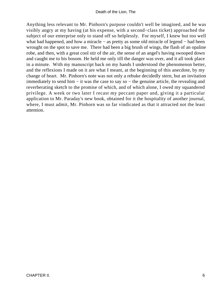Anything less relevant to Mr. Pinhorn's purpose couldn't well be imagined, and he was visibly angry at my having (at his expense, with a second−class ticket) approached the subject of our enterprise only to stand off so helplessly. For myself, I knew but too well what had happened, and how a miracle − as pretty as some old miracle of legend − had been wrought on the spot to save me. There had been a big brush of wings, the flash of an opaline robe, and then, with a great cool stir of the air, the sense of an angel's having swooped down and caught me to his bosom. He held me only till the danger was over, and it all took place in a minute. With my manuscript back on my hands I understood the phenomenon better, and the reflexions I made on it are what I meant, at the beginning of this anecdote, by my change of heart. Mr. Pinhorn's note was not only a rebuke decidedly stern, but an invitation immediately to send him − it was the case to say so − the genuine article, the revealing and reverberating sketch to the promise of which, and of which alone, I owed my squandered privilege. A week or two later I recast my peccant paper and, giving it a particular application to Mr. Paraday's new book, obtained for it the hospitality of another journal, where, I must admit, Mr. Pinhorn was so far vindicated as that it attracted not the least attention.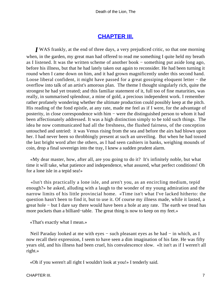## **[CHAPTER III.](#page-34-0)**

<span id="page-7-0"></span>*I* WAS frankly, at the end of three days, a very prejudiced critic, so that one morning when, in the garden, my great man had offered to read me something I quite held my breath as I listened. It was the written scheme of another book − something put aside long ago, before his illness, but that he had lately taken out again to reconsider. He had been turning it round when I came down on him, and it had grown magnificently under this second hand. Loose liberal confident, it might have passed for a great gossiping eloquent letter − the overflow into talk of an artist's amorous plan. The theme I thought singularly rich, quite the strongest he had yet treated; and this familiar statement of it, full too of fine maturities, was really, in summarised splendour, a mine of gold, a precious independent work. I remember rather profanely wondering whether the ultimate production could possibly keep at the pitch. His reading of the fond epistle, at any rate, made me feel as if I were, for the advantage of posterity, in close correspondence with him – were the distinguished person to whom it had been affectionately addressed. It was a high distinction simply to be told such things. The idea he now communicated had all the freshness, the flushed fairness, of the conception untouched and untried: it was Venus rising from the sea and before the airs had blown upon her. I had never been so throbbingly present at such an unveiling. But when he had tossed the last bright word after the others, as I had seen cashiers in banks, weighing mounds of coin, drop a final sovereign into the tray, I knew a sudden prudent alarm.

 «My dear master, how, after all, are you going to do it? It's infinitely noble, but what time it will take, what patience and independence, what assured, what perfect conditions! Oh for a lone isle in a tepid sea!»

 «Isn't this practically a lone isle, and aren't you, as an encircling medium, tepid enough?» he asked, alluding with a laugh to the wonder of my young admiration and the narrow limits of his little provincial home. «Time isn't what I've lacked hitherto: the question hasn't been to find it, but to use it. Of course my illness made, while it lasted, a great hole − but I dare say there would have been a hole at any rate. The earth we tread has more pockets than a billiard−table. The great thing is now to keep on my feet.»

«That's exactly what I mean.»

Neil Paraday looked at me with eyes – such pleasant eyes as he had – in which, as I now recall their expression, I seem to have seen a dim imagination of his fate. He was fifty years old, and his illness had been cruel, his convalescence slow. «It isn't as if I weren't all right.»

«Oh if you weren't all right I wouldn't look at you!» I tenderly said.

CHAPTER III. 7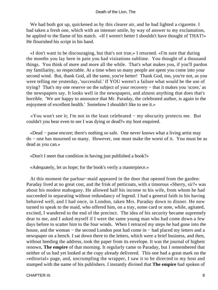We had both got up, quickened as by this clearer air, and he had lighted a cigarette. I had taken a fresh one, which with an intenser smile, by way of answer to my exclamation, he applied to the flame of his match. «If I weren't better I shouldn't have thought of THAT!» He flourished his script in his hand.

 «I don't want to be discouraging, but that's not true,» I returned. «I'm sure that during the months you lay here in pain you had visitations sublime. You thought of a thousand things. You think of more and more all the while. That's what makes you, if you'll pardon my familiarity, so respectable. At a time when so many people are spent you come into your second wind. But, thank God, all the same, you're better! Thank God, too, you're not, as you were telling me yesterday, 'successful.' If YOU weren't a failure what would be the use of trying? That's my one reserve on the subject of your recovery − that it makes you 'score,' as the newspapers say. It looks well in the newspapers, and almost anything that does that's horrible. 'We are happy to announce that Mr. Paraday, the celebrated author, is again in the enjoyment of excellent health.' Somehow I shouldn't like to see it.»

 «You won't see it; I'm not in the least celebrated − my obscurity protects me. But couldn't you bear even to see I was dying or dead?» my host enquired.

 «Dead − passe encore; there's nothing so safe. One never knows what a living artist may do − one has mourned so many. However, one must make the worst of it. You must be as dead as you can.»

«Don't I meet that condition in having just published a book?»

«Adequately, let us hope; for the book's verily a masterpiece.»

 At this moment the parlour−maid appeared in the door that opened from the garden: Paraday lived at no great cost, and the frisk of petticoats, with a timorous «Sherry, sir?» was about his modest mahogany. He allowed half his income to his wife, from whom he had succeeded in separating without redundancy of legend. I had a general faith in his having behaved well, and I had once, in London, taken Mrs. Paraday down to dinner. He now turned to speak to the maid, who offered him, on a tray, some card or note, while, agitated, excited, I wandered to the end of the precinct. The idea of his security became supremely dear to me, and I asked myself if I were the same young man who had come down a few days before to scatter him to the four winds. When I retraced my steps he had gone into the house, and the woman − the second London post had come in − had placed my letters and a newspaper on a bench. I sat down there to the letters, which were a brief business, and then, without heeding the address, took the paper from its envelope. It was the journal of highest renown, **The empire** of that morning. It regularly came to Paraday, but I remembered that neither of us had yet looked at the copy already delivered. This one had a great mark on the «editorial» page, and, uncrumpling the wrapper, I saw it to be directed to my host and stamped with the name of his publishers. I instantly divined that **The empire** had spoken of

CHAPTER III. 8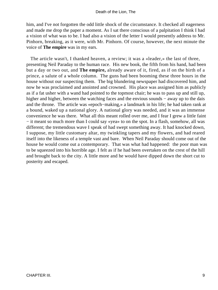him, and I've not forgotten the odd little shock of the circumstance. It checked all eagerness and made me drop the paper a moment. As I sat there conscious of a palpitation I think I had a vision of what was to be. I had also a vision of the letter I would presently address to Mr. Pinhorn, breaking, as it were, with Mr. Pinhorn. Of course, however, the next minute the voice of **The empire** was in my ears.

 The article wasn't, I thanked heaven, a review; it was a «leader,» the last of three, presenting Neil Paraday to the human race. His new book, the fifth from his hand, had been but a day or two out, and **The empire,** already aware of it, fired, as if on the birth of a prince, a salute of a whole column. The guns had been booming these three hours in the house without our suspecting them. The big blundering newspaper had discovered him, and now he was proclaimed and anointed and crowned. His place was assigned him as publicly as if a fat usher with a wand had pointed to the topmost chair; he was to pass up and still up, higher and higher, between the watching faces and the envious sounds – away up to the dais and the throne. The article was «epoch−making,» a landmark in his life; he had taken rank at a bound, waked up a national glory. A national glory was needed, and it was an immense convenience he was there. What all this meant rolled over me, and I fear I grew a little faint − it meant so much more than I could say «yea» to on the spot. In a flash, somehow, all was different; the tremendous wave I speak of had swept something away. It had knocked down, I suppose, my little customary altar, my twinkling tapers and my flowers, and had reared itself into the likeness of a temple vast and bare. When Neil Paraday should come out of the house he would come out a contemporary. That was what had happened: the poor man was to be squeezed into his horrible age. I felt as if he had been overtaken on the crest of the hill and brought back to the city. A little more and he would have dipped down the short cut to posterity and escaped.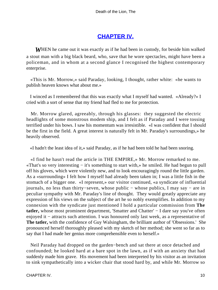# **[CHAPTER IV.](#page-34-0)**

<span id="page-10-0"></span>*W*HEN he came out it was exactly as if he had been in custody, for beside him walked a stout man with a big black beard, who, save that he wore spectacles, might have been a policeman, and in whom at a second glance I recognised the highest contemporary enterprise.

 «This is Mr. Morrow,» said Paraday, looking, I thought, rather white: «he wants to publish heaven knows what about me.»

 I winced as I remembered that this was exactly what I myself had wanted. «Already?» I cried with a sort of sense that my friend had fled to me for protection.

 Mr. Morrow glared, agreeably, through his glasses: they suggested the electric headlights of some monstrous modem ship, and I felt as if Paraday and I were tossing terrified under his bows. I saw his momentum was irresistible. «I was confident that I should be the first in the field. A great interest is naturally felt in Mr. Paraday's surroundings,» he heavily observed.

«I hadn't the least idea of it,» said Paraday, as if he had been told he had been snoring.

 «I find he hasn't read the article in THE EMPIRE,» Mr. Morrow remarked to me. «That's so very interesting − it's something to start with,» he smiled. He had begun to pull off his gloves, which were violently new, and to look encouragingly round the little garden. As a «surrounding» I felt how I myself had already been taken in; I was a little fish in the stomach of a bigger one. «I represent,» our visitor continued, «a syndicate of influential journals, no less than thirty−seven, whose public − whose publics, I may say − are in peculiar sympathy with Mr. Paraday's line of thought. They would greatly appreciate any expression of his views on the subject of the art he so nobly exemplifies. In addition to my connexion with the syndicate just mentioned I hold a particular commission from **The** tatler, whose most prominent department, 'Smatter and Chatter' − I dare say you've often enjoyed it − attracts such attention. I was honoured only last week, as a representative of **The tatler,** with the confidence of Guy Walsingham, the brilliant author of 'Obsessions.' She pronounced herself thoroughly pleased with my sketch of her method; she went so far as to say that I had made her genius more comprehensible even to herself.»

 Neil Paraday had dropped on the garden−bench and sat there at once detached and confounded; he looked hard at a bare spot in the lawn, as if with an anxiety that had suddenly made him grave. His movement had been interpreted by his visitor as an invitation to sink sympathetically into a wicker chair that stood hard by, and while Mr. Morrow so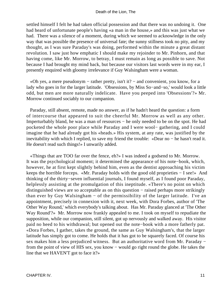settled himself I felt he had taken official possession and that there was no undoing it. One had heard of unfortunate people's having «a man in the house,» and this was just what we had. There was a silence of a moment, during which we seemed to acknowledge in the only way that was possible the presence of universal fate; the sunny stillness took no pity, and my thought, as I was sure Paraday's was doing, performed within the minute a great distant revolution. I saw just how emphatic I should make my rejoinder to Mr. Pinhorn, and that having come, like Mr. Morrow, to betray, I must remain as long as possible to save. Not because I had brought my mind back, but because our visitors last words were in my ear, I presently enquired with gloomy irrelevance if Guy Walsingham were a woman.

 «Oh yes, a mere pseudonym − rather pretty, isn't it? − and convenient, you know, for a lady who goes in for the larger latitude. 'Obsessions, by Miss So−and−so,' would look a little odd, but men are more naturally indelicate. Have you peeped into 'Obsessions'?» Mr. Morrow continued sociably to our companion.

 Paraday, still absent, remote, made no answer, as if he hadn't heard the question: a form of intercourse that appeared to suit the cheerful Mr. Morrow as well as any other. Imperturbably bland, he was a man of resources − he only needed to be on the spot. He had pocketed the whole poor place while Paraday and I were wool− gathering, and I could imagine that he had already got his «heads.» His system, at any rate, was justified by the inevitability with which I replied, to save my friend the trouble: «Dear no − he hasn't read it. He doesn't read such things!» I unwarily added.

 «Things that are TOO far over the fence, eh?» I was indeed a godsend to Mr. Morrow. It was the psychological moment; it determined the appearance of his note−book, which, however, he at first kept slightly behind him, even as the dentist approaching his victim keeps the horrible forceps. «Mr. Paraday holds with the good old proprieties − I see!» And thinking of the thirty−seven influential journals, I found myself, as I found poor Paraday, helplessly assisting at the promulgation of this ineptitude. «There's no point on which distinguished views are so acceptable as on this question − raised perhaps more strikingly than ever by Guy Walsingham − of the permissibility of the larger latitude. I've an appointment, precisely in connexion with it, next week, with Dora Forbes, author of 'The Other Way Round,' which everybody's talking about. Has Mr. Paraday glanced at 'The Other Way Round'?» Mr. Morrow now frankly appealed to me. I took on myself to repudiate the supposition, while our companion, still silent, got up nervously and walked away. His visitor paid no heed to his withdrawal; but opened out the note−book with a more fatherly pat. «Dora Forbes, I gather, takes the ground, the same as Guy Walsingham's, that the larger latitude has simply got to come. He holds that it has got to be squarely faced. Of course his sex makes him a less prejudiced witness. But an authoritative word from Mr. Paraday – from the point of view of HIS sex, you know − would go right round the globe. He takes the line that we HAVEN'T got to face it?»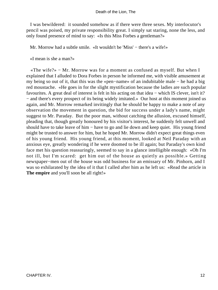I was bewildered: it sounded somehow as if there were three sexes. My interlocutor's pencil was poised, my private responsibility great. I simply sat staring, none the less, and only found presence of mind to say: «Is this Miss Forbes a gentleman?»

Mr. Morrow had a subtle smile. «It wouldn't be 'Miss' − there's a wife!»

«I mean is she a man?»

 «The wife?» − Mr. Morrow was for a moment as confused as myself. But when I explained that I alluded to Dora Forbes in person he informed me, with visible amusement at my being so out of it, that this was the «pen−name» of an indubitable male − he had a big red moustache. «He goes in for the slight mystification because the ladies are such popular favourites. A great deal of interest is felt in his acting on that idea − which IS clever, isn't it? − and there's every prospect of its being widely imitated.» Our host at this moment joined us again, and Mr. Morrow remarked invitingly that he should be happy to make a note of any observation the movement in question, the bid for success under a lady's name, might suggest to Mr. Paraday. But the poor man, without catching the allusion, excused himself, pleading that, though greatly honoured by his visitor's interest, he suddenly felt unwell and should have to take leave of him − have to go and lie down and keep quiet. His young friend might be trusted to answer for him, but he hoped Mr. Morrow didn't expect great things even of his young friend. His young friend, at this moment, looked at Neil Paraday with an anxious eye, greatly wondering if he were doomed to be ill again; but Paraday's own kind face met his question reassuringly, seemed to say in a glance intelligible enough: «Oh I'm not ill, but I'm scared: get him out of the house as quietly as possible.» Getting newspaper−men out of the house was odd business for an emissary of Mr. Pinhorn, and I was so exhilarated by the idea of it that I called after him as he left us: «Read the article in **The empire** and you'll soon be all right!»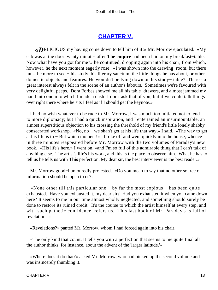## **[CHAPTER V.](#page-34-0)**

<span id="page-13-0"></span>*«D*ELICIOUS my having come down to tell him of it!» Mr. Morrow ejaculated. «My cab was at the door twenty minutes after **The empire** had been laid on my breakfast−table. Now what have you got for me?» he continued, dropping again into his chair, from which, however, he the next moment eagerly rose. «I was shown into the drawing−room, but there must be more to see − his study, his literary sanctum, the little things he has about, or other domestic objects and features. He wouldn't be lying down on his study− table? There's a great interest always felt in the scene of an author's labours. Sometimes we're favoured with very delightful peeps. Dora Forbes showed me all his table−drawers, and almost jammed my hand into one into which I made a dash! I don't ask that of you, but if we could talk things over right there where he sits I feel as if I should get the keynote.»

 I had no wish whatever to be rude to Mr. Morrow, I was much too initiated not to tend to more diplomacy; but I had a quick inspiration, and I entertained an insurmountable, an almost superstitious objection to his crossing the threshold of my friend's little lonely shabby consecrated workshop. «No, no − we shan't get at his life that way,» I said. «The way to get at his life is to − But wait a moment!» I broke off and went quickly into the house, whence I in three minutes reappeared before Mr. Morrow with the two volumes of Paraday's new book. «His life's here,» I went on, «and I'm so full of this admirable thing that I can't talk of anything else. The artist's life's his work, and this is the place to observe him. What he has to tell us he tells us with **This** perfection. My dear sir, the best interviewer is the best reader.»

 Mr. Morrow good−humouredly protested. «Do you mean to say that no other source of information should be open to us?»

 «None other till this particular one − by far the most copious − has been quite exhausted. Have you exhausted it, my dear sir? Had you exhausted it when you came down here? It seems to me in our time almost wholly neglected, and something should surely be done to restore its ruined credit. It's the course to which the artist himself at every step, and with such pathetic confidence, refers us. This last book of Mr. Paraday's is full of revelations.»

«Revelations?» panted Mr. Morrow, whom I had forced again into his chair.

 «The only kind that count. It tells you with a perfection that seems to me quite final all the author thinks, for instance, about the advent of the 'larger latitude.'»

 «Where does it do that?» asked Mr. Morrow, who had picked up the second volume and was insincerely thumbing it.

CHAPTER V. 13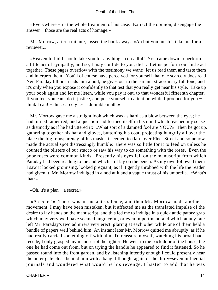«Everywhere − in the whole treatment of his case. Extract the opinion, disengage the answer − those are the real acts of homage.»

 Mr. Morrow, after a minute, tossed the book away. «Ah but you mustn't take me for a reviewer.»

 «Heaven forbid I should take you for anything so dreadful! You came down to perform a little act of sympathy, and so, I may confide to you, did I. Let us perform our little act together. These pages overflow with the testimony we want: let us read them and taste them and interpret them. You'll of course have perceived for yourself that one scarcely does read Neil Paraday till one reads him aloud; he gives out to the ear an extraordinary full tone, and it's only when you expose it confidently to that test that you really get near his style. Take up your book again and let me listen, while you pay it out, to that wonderful fifteenth chapter. If you feel you can't do it justice, compose yourself to attention while I produce for you − I think I can! − this scarcely less admirable ninth.»

 Mr. Morrow gave me a straight look which was as hard as a blow between the eyes; he had turned rather red, and a question had formed itself in his mind which reached my sense as distinctly as if he had uttered it: «What sort of a damned fool are YOU?» Then he got up, gathering together his hat and gloves, buttoning his coat, projecting hungrily all over the place the big transparency of his mask. It seemed to flare over Fleet Street and somehow made the actual spot distressingly humble: there was so little for it to feed on unless he counted the blisters of our stucco or saw his way to do something with the roses. Even the poor roses were common kinds. Presently his eyes fell on the manuscript from which Paraday had been reading to me and which still lay on the bench. As my own followed them I saw it looked promising, looked pregnant, as if it gently throbbed with the life the reader had given it. Mr. Morrow indulged in a nod at it and a vague thrust of his umbrella. «What's that?»

«Oh, it's a plan − a secret.»

 «A secret!» There was an instant's silence, and then Mr. Morrow made another movement. I may have been mistaken, but it affected me as the translated impulse of the desire to lay hands on the manuscript, and this led me to indulge in a quick anticipatory grab which may very well have seemed ungraceful, or even impertinent, and which at any rate left Mr. Paraday's two admirers very erect, glaring at each other while one of them held a bundle of papers well behind him. An instant later Mr. Morrow quitted me abruptly, as if he had really carried something off with him. To reassure myself, watching his broad back recede, I only grasped my manuscript the tighter. He went to the back door of the house, the one he had come out from, but on trying the handle he appeared to find it fastened. So he passed round into the front garden, and by listening intently enough I could presently hear the outer gate close behind him with a bang. I thought again of the thirty−seven influential journals and wondered what would be his revenge. I hasten to add that he was

CHAPTER V. 2002 14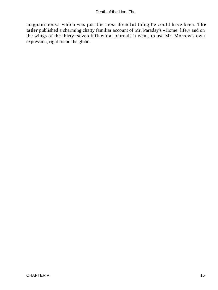magnanimous: which was just the most dreadful thing he could have been. **The tatler** published a charming chatty familiar account of Mr. Paraday's «Home−life,» and on the wings of the thirty−seven influential journals it went, to use Mr. Morrow's own expression, right round the globe.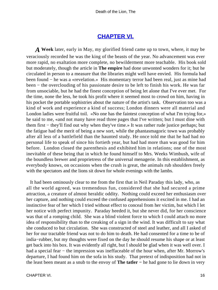## **[CHAPTER VI.](#page-34-0)**

<span id="page-16-0"></span>*A* **Week** later, early in May, my glorified friend came up to town, where, it may be veraciously recorded he was the king of the beasts of the year. No advancement was ever more rapid, no exaltation more complete, no bewilderment more teachable. His book sold but moderately, though the article in **The empire** had done unwonted wonders for it; but he circulated in person to a measure that the libraries might well have envied. His formula had been found − he was a «revelation.» His momentary terror had been real, just as mine had been − the overclouding of his passionate desire to be left to finish his work. He was far from unsociable, but he had the finest conception of being let alone that I've ever met. For the time, none the less, he took his profit where it seemed most to crowd on him, having in his pocket the portable sophistries about the nature of the artist's task. Observation too was a kind of work and experience a kind of success; London dinners were all material and London ladies were fruitful toil. «No one has the faintest conception of what I'm trying for,» he said to me, «and not many have read three pages that I've written; but I must dine with them first − they'll find out why when they've time.» It was rather rude justice perhaps; but the fatigue had the merit of being a new sort, while the phantasmagoric town was probably after all less of a battlefield than the haunted study. He once told me that he had had no personal life to speak of since his fortieth year, but had had more than was good for him before. London closed the parenthesis and exhibited him in relations; one of the most inevitable of these being that in which he found himself to Mrs. Weeks Wimbush, wife of the boundless brewer and proprietress of the universal menagerie. In this establishment, as everybody knows, on occasions when the crush is great, the animals rub shoulders freely with the spectators and the lions sit down for whole evenings with the lambs.

 It had been ominously clear to me from the first that in Neil Paraday this lady, who, as all the world agreed, was tremendous fun, considered that she had secured a prime attraction, a creature of almost heraldic oddity. Nothing could exceed her enthusiasm over her capture, and nothing could exceed the confused apprehensions it excited in me. I had an instinctive fear of her which I tried without effect to conceal from her victim, but which I let her notice with perfect impunity. Paraday heeded it, but she never did, for her conscience was that of a romping child. She was a blind violent force to which I could attach no more idea of responsibility than to the creaking of a sign in the wind. It was difficult to say what she conduced to but circulation. She was constructed of steel and leather, and all I asked of her for our tractable friend was not to do him to death. He had consented for a time to be of india−rubber, but my thoughts were fixed on the day he should resume his shape or at least get back into his box. It was evidently all right, but I should be glad when it was well over. I had a special fear – the impression was ineffaceable of the hour when, after Mr. Morrow's departure, I had found him on the sofa in his study. That pretext of indisposition had not in the least been meant as a snub to the envoy of **The tatler −** he had gone to lie down in very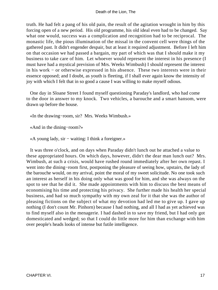truth. He had felt a pang of his old pain, the result of the agitation wrought in him by this forcing open of a new period. His old programme, his old ideal even had to be changed. Say what one would, success was a complication and recognition had to be reciprocal. The monastic life, the pious illumination of the missal in the convent cell were things of the gathered past. It didn't engender despair, but at least it required adjustment. Before I left him on that occasion we had passed a bargain, my part of which was that I should make it my business to take care of him. Let whoever would represent the interest in his presence (I must have had a mystical prevision of Mrs. Weeks Wimbush) I should represent the interest in his work − or otherwise expressed in his absence. These two interests were in their essence opposed; and I doubt, as youth is fleeting, if I shall ever again know the intensity of joy with which I felt that in so good a cause I was willing to make myself odious.

 One day in Sloane Street I found myself questioning Paraday's landlord, who had come to the door in answer to my knock. Two vehicles, a barouche and a smart hansom, were drawn up before the house.

«In the drawing−room, sir? Mrs. Weeks Wimbush.»

«And in the dining−room?»

«A young lady, sir − waiting: I think a foreigner.»

 It was three o'clock, and on days when Paraday didn't lunch out he attached a value to these appropriated hours. On which days, however, didn't the dear man lunch out? Mrs. Wimbush, at such a crisis, would have rushed round immediately after her own repast. I went into the dining−room first, postponing the pleasure of seeing how, upstairs, the lady of the barouche would, on my arrival, point the moral of my sweet solicitude. No one took such an interest as herself in his doing only what was good for him, and she was always on the spot to see that he did it. She made appointments with him to discuss the best means of economising his time and protecting his privacy. She further made his health her special business, and had so much sympathy with my own zeal for it that she was the author of pleasing fictions on the subject of what my devotion had led me to give up. I gave up nothing (I don't count Mr. Pinhorn) because I had nothing, and all I had as yet achieved was to find myself also in the menagerie. I had dashed in to save my friend, but I had only got domesticated and wedged; so that I could do little more for him than exchange with him over people's heads looks of intense but futile intelligence.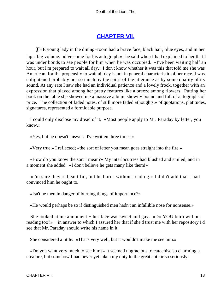## **[CHAPTER VII.](#page-34-0)**

<span id="page-18-0"></span>*T*HE young lady in the dining−room had a brave face, black hair, blue eyes, and in her lap a big volume. «I've come for his autograph,» she said when I had explained to her that I was under bonds to see people for him when he was occupied. «I've been waiting half an hour, but I'm prepared to wait all day.» I don't know whether it was this that told me she was American, for the propensity to wait all day is not in general characteristic of her race. I was enlightened probably not so much by the spirit of the utterance as by some quality of its sound. At any rate I saw she had an individual patience and a lovely frock, together with an expression that played among her pretty features like a breeze among flowers. Putting her book on the table she showed me a massive album, showily bound and full of autographs of price. The collection of faded notes, of still more faded «thoughts,» of quotations, platitudes, signatures, represented a formidable purpose.

 I could only disclose my dread of it. «Most people apply to Mr. Paraday by letter, you know.»

«Yes, but he doesn't answer. I've written three times.»

«Very true,» I reflected; «the sort of letter you mean goes straight into the fire.»

 «How do you know the sort I mean?» My interlocutress had blushed and smiled, and in a moment she added: «I don't believe he gets many like them!»

 «I'm sure they're beautiful, but he burns without reading.» I didn't add that I had convinced him he ought to.

«Isn't he then in danger of burning things of importance?»

«He would perhaps be so if distinguished men hadn't an infallible nose for nonsense.»

She looked at me a moment – her face was sweet and gay. «Do YOU burn without reading too?» − in answer to which I assured her that if she'd trust me with her repository I'd see that Mr. Paraday should write his name in it.

She considered a little. «That's very well, but it wouldn't make me see him.»

 «Do you want very much to see him?» It seemed ungracious to catechise so charming a creature, but somehow I had never yet taken my duty to the great author so seriously.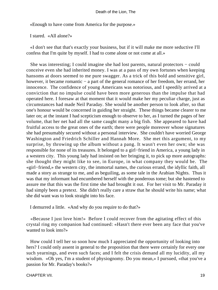«Enough to have come from America for the purpose.»

I stared. «All alone?»

 «I don't see that that's exactly your business, but if it will make me more seductive I'll confess that I'm quite by myself. I had to come alone or not come at all.»

 She was interesting; I could imagine she had lost parents, natural protectors − could conceive even she had inherited money. I was at a pass of my own fortunes when keeping hansoms at doors seemed to me pure swagger. As a trick of this bold and sensitive girl, however, it became romantic − a part of the general romance of her freedom, her errand, her innocence. The confidence of young Americans was notorious, and I speedily arrived at a conviction that no impulse could have been more generous than the impulse that had operated here. I foresaw at that moment that it would make her my peculiar charge, just as circumstances had made Neil Paraday. She would be another person to look after, so that one's honour would be concerned in guiding her straight. These things became clearer to me later on; at the instant I had scepticism enough to observe to her, as I turned the pages of her volume, that her net had all the same caught many a big fish. She appeared to have had fruitful access to the great ones of the earth; there were people moreover whose signatures she had presumably secured without a personal interview. She couldn't have worried George Washington and Friedrich Schiller and Hannah More. She met this argument, to my surprise, by throwing up the album without a pang. It wasn't even her own; she was responsible for none of its treasures. It belonged to a girl−friend in America, a young lady in a western city. This young lady had insisted on her bringing it, to pick up more autographs: she thought they might like to see, in Europe, in what company they would be. The «girl−friend,» the western city, the immortal names, the curious errand, the idyllic faith, all made a story as strange to me, and as beguiling, as some tale in the Arabian Nights. Thus it was that my informant had encumbered herself with the ponderous tome; but she hastened to assure me that this was the first time she had brought it out. For her visit to Mr. Paraday it had simply been a pretext. She didn't really care a straw that he should write his name; what she did want was to look straight into his face.

I demurred a little. «And why do you require to do that?»

 «Because I just love him!» Before I could recover from the agitating effect of this crystal ring my companion had continued: «Hasn't there ever been any face that you've wanted to look into?»

 How could I tell her so soon how much I appreciated the opportunity of looking into hers? I could only assent in general to the proposition that there were certainly for every one such yearnings, and even such faces; and I felt the crisis demand all my lucidity, all my wisdom. «Oh yes, I'm a student of physiognomy. Do you mean,» I pursued, «that you've a passion for Mr. Paraday's books?»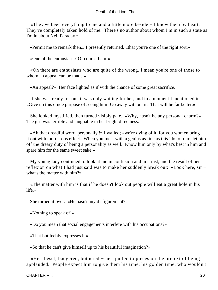«They've been everything to me and a little more beside − I know them by heart. They've completely taken hold of me. There's no author about whom I'm in such a state as I'm in about Neil Paraday.»

«Permit me to remark then,» I presently returned, «that you're one of the right sort.»

«One of the enthusiasts? Of course I am!»

 «Oh there are enthusiasts who are quite of the wrong. I mean you're one of those to whom an appeal can be made.»

«An appeal?» Her face lighted as if with the chance of some great sacrifice.

 If she was ready for one it was only waiting for her, and in a moment I mentioned it. «Give up this crude purpose of seeing him! Go away without it. That will be far better.»

 She looked mystified, then turned visibly pale. «Why, hasn't he any personal charm?» The girl was terrible and laughable in her bright directness.

 «Ah that dreadful word 'personally'!» I wailed; «we're dying of it, for you women bring it out with murderous effect. When you meet with a genius as fine as this idol of ours let him off the dreary duty of being a personality as well. Know him only by what's best in him and spare him for the same sweet sake.»

 My young lady continued to look at me in confusion and mistrust, and the result of her reflexion on what I had just said was to make her suddenly break out: «Look here, sir − what's the matter with him?»

 «The matter with him is that if he doesn't look out people will eat a great hole in his life.»

She turned it over. «He hasn't any disfigurement?»

«Nothing to speak of!»

«Do you mean that social engagements interfere with his occupations?»

«That but feebly expresses it.»

«So that he can't give himself up to his beautiful imagination?»

 «He's beset, badgered, bothered − he's pulled to pieces on the pretext of being applauded. People expect him to give them his time, his golden time, who wouldn't

CHAPTER VII. 20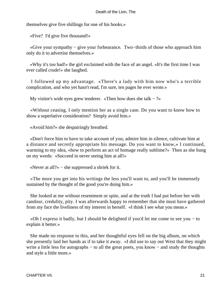themselves give five shillings for one of his books.»

«Five? I'd give five thousand!»

 «Give your sympathy − give your forbearance. Two−thirds of those who approach him only do it to advertise themselves.»

 «Why it's too bad!» the girl exclaimed with the face of an angel. «It's the first time I was ever called crude!» she laughed.

 I followed up my advantage. «There's a lady with him now who's a terrible complication, and who yet hasn't read, I'm sure, ten pages he ever wrote.»

My visitor's wide eyes grew tenderer. «Then how does she talk  $-$  ?»

 «Without ceasing. I only mention her as a single case. Do you want to know how to show a superlative consideration? Simply avoid him.»

«Avoid him?» she despairingly breathed.

 «Don't force him to have to take account of you; admire him in silence, cultivate him at a distance and secretly appropriate his message. Do you want to know,» I continued, warming to my idea, «how to perform an act of homage really sublime?» Then as she hung on my words: «Succeed in never seeing him at all!»

«Never at all?» − she suppressed a shriek for it.

 «The more you get into his writings the less you'll want to, and you'll be immensely sustained by the thought of the good you're doing him.»

 She looked at me without resentment or spite, and at the truth I had put before her with candour, credulity, pity. I was afterwards happy to remember that she must have gathered from my face the liveliness of my interest in herself. «I think I see what you mean.»

 «Oh I express it badly, but I should be delighted if you'd let me come to see you − to explain it better.»

 She made no response to this, and her thoughtful eyes fell on the big album, on which she presently laid her hands as if to take it away. «I did use to say out West that they might write a little less for autographs – to all the great poets, you know – and study the thoughts and style a little more.»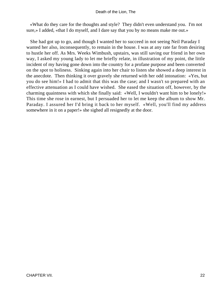«What do they care for the thoughts and style? They didn't even understand you. I'm not sure,» I added, «that I do myself, and I dare say that you by no means make me out.»

 She had got up to go, and though I wanted her to succeed in not seeing Neil Paraday I wanted her also, inconsequently, to remain in the house. I was at any rate far from desiring to hustle her off. As Mrs. Weeks Wimbush, upstairs, was still saving our friend in her own way, I asked my young lady to let me briefly relate, in illustration of my point, the little incident of my having gone down into the country for a profane purpose and been converted on the spot to holiness. Sinking again into her chair to listen she showed a deep interest in the anecdote. Then thinking it over gravely she returned with her odd intonation: «Yes, but you do see him!» I had to admit that this was the case; and I wasn't so prepared with an effective attenuation as I could have wished. She eased the situation off, however, by the charming quaintness with which she finally said: «Well, I wouldn't want him to be lonely!» This time she rose in earnest, but I persuaded her to let me keep the album to show Mr. Paraday. I assured her I'd bring it back to her myself. «Well, you'll find my address somewhere in it on a paper!» she sighed all resignedly at the door.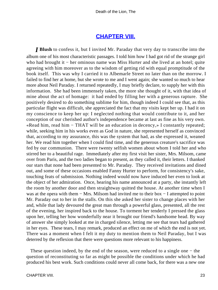### **[CHAPTER VIII.](#page-34-0)**

<span id="page-23-0"></span>*I* **Blush** to confess it, but I invited Mr. Paraday that very day to transcribe into the album one of his most characteristic passages. I told him how I had got rid of the strange girl who had brought it – her ominous name was Miss Hurter and she lived at an hotel; quite agreeing with him moreover as to the wisdom of getting rid with equal promptitude of the book itself. This was why I carried it to Albemarle Street no later than on the morrow. I failed to find her at home, but she wrote to me and I went again; she wanted so much to hear more about Neil Paraday. I returned repeatedly, I may briefly declare, to supply her with this information. She had been immensely taken, the more she thought of it, with that idea of mine about the act of homage: it had ended by filling her with a generous rapture. She positively desired to do something sublime for him, though indeed I could see that, as this particular flight was difficult, she appreciated the fact that my visits kept her up. I had it on my conscience to keep her up: I neglected nothing that would contribute to it, and her conception of our cherished author's independence became at last as fine as his very own. «Read him, read him − THAT will be an education in decency,» I constantly repeated; while, seeking him in his works even as God in nature, she represented herself as convinced that, according to my assurance, this was the system that had, as she expressed it, weaned her. We read him together when I could find time, and the generous creature's sacrifice was fed by our communion. There were twenty selfish women about whom I told her and who stirred her to a beautiful rage. Immediately after my first visit her sister, Mrs. Milsom, came over from Paris, and the two ladies began to present, as they called it, their letters. I thanked our stars that none had been presented to Mr. Paraday. They received invitations and dined out, and some of these occasions enabled Fanny Hurter to perform, for consistency's sake, touching feats of submission. Nothing indeed would now have induced her even to look at the object of her admiration. Once, hearing his name announced at a party, she instantly left the room by another door and then straightway quitted the house. At another time when I was at the opera with them − Mrs. Milsom had invited me to their box − I attempted to point Mr. Paraday out to her in the stalls. On this she asked her sister to change places with her and, while that lady devoured the great man through a powerful glass, presented, all the rest of the evening, her inspired back to the house. To torment her tenderly I pressed the glass upon her, telling her how wonderfully near it brought our friend's handsome head. By way of answer she simply looked at me in charged silence, letting me see that tears had gathered in her eyes. These tears, I may remark, produced an effect on me of which the end is not yet. There was a moment when I felt it my duty to mention them to Neil Paraday, but I was deterred by the reflexion that there were questions more relevant to his happiness.

 These question indeed, by the end of the season, were reduced to a single one − the question of reconstituting so far as might be possible the conditions under which he had produced his best work. Such conditions could never all come back, for there was a new one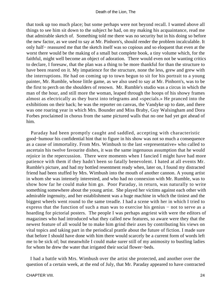that took up too much place; but some perhaps were not beyond recall. I wanted above all things to see him sit down to the subject he had, on my making his acquaintance, read me that admirable sketch of. Something told me there was no security but in his doing so before the new factor, as we used to say at Mr. Pinhorn's, should render the problem incalculable. It only half− reassured me that the sketch itself was so copious and so eloquent that even at the worst there would be the making of a small but complete book, a tiny volume which, for the faithful, might well become an object of adoration. There would even not be wanting critics to declare, I foresaw, that the plan was a thing to be more thankful for than the structure to have been reared on it. My impatience for the structure, none the less, grew and grew with the interruptions. He had on coming up to town begun to sit for his portrait to a young painter, Mr. Rumble, whose little game, as we also used to say at Mr. Pinhorn's, was to be the first to perch on the shoulders of renown. Mr. Rumble's studio was a circus in which the man of the hour, and still more the woman, leaped through the hoops of his showy frames almost as electrically as they burst into telegrams and «specials.» He pranced into the exhibitions on their back; he was the reporter on canvas, the Vandyke up to date, and there was one roaring year in which Mrs. Bounder and Miss Braby, Guy Walsingham and Dora Forbes proclaimed in chorus from the same pictured walls that no one had yet got ahead of him.

 Paraday had been promptly caught and saddled, accepting with characteristic good−humour his confidential hint that to figure in his show was not so much a consequence as a cause of immortality. From Mrs. Wimbush to the last «representative» who called to ascertain his twelve favourite dishes, it was the same ingenuous assumption that he would rejoice in the repercussion. There were moments when I fancied I might have had more patience with them if they hadn't been so fatally benevolent. I hated at all events Mr. Rumble's picture, and had my bottled resentment ready when, later on, I found my distracted friend had been stuffed by Mrs. Wimbush into the mouth of another cannon. A young artist in whom she was intensely interested, and who had no connexion with Mr. Rumble, was to show how far he could make him go. Poor Paraday, in return, was naturally to write something somewhere about the young artist. She played her victims against each other with admirable ingenuity, and her establishment was a huge machine in which the tiniest and the biggest wheels went round to the same treadle. I had a scene with her in which I tried to express that the function of such a man was to exercise his genius − not to serve as a hoarding for pictorial posters. The people I was perhaps angriest with were the editors of magazines who had introduced what they called new features, so aware were they that the newest feature of all would be to make him grind their axes by contributing his views on vital topics and taking part in the periodical prattle about the future of fiction. I made sure that before I should have done with him there would scarcely be a current form of words left me to be sick of; but meanwhile I could make surer still of my animosity to bustling ladies for whom he drew the water that irrigated their social flower−beds.

 I had a battle with Mrs. Wimbush over the artist she protected, and another over the question of a certain week, at the end of July, that Mr. Paraday appeared to have contracted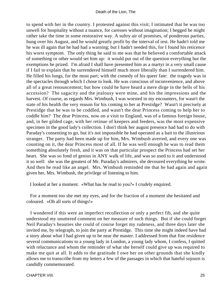to spend with her in the country. I protested against this visit; I intimated that he was too unwell for hospitality without a nuance, for caresses without imagination; I begged he might rather take the time in some restorative way. A sultry air of promises, of ponderous parties, hung over his August, and he would greatly profit by the interval of rest. He hadn't told me he was ill again that he had had a warning; but I hadn't needed this, for I found his reticence his worst symptom. The only thing he said to me was that he believed a comfortable attack of something or other would set him up: it would put out of the question everything but the exemptions he prized. I'm afraid I shall have presented him as a martyr in a very small cause if I fail to explain that he surrendered himself much more liberally than I surrendered him. He filled his lungs, for the most part; with the comedy of his queer fate: the tragedy was in the spectacles through which I chose to look. He was conscious of inconvenience, and above all of a great renouncement; but how could he have heard a mere dirge in the bells of his accession? The sagacity and the jealousy were mine, and his the impressions and the harvest. Of course, as regards Mrs. Wimbush, I was worsted in my encounters, for wasn't the state of his health the very reason for his coming to her at Prestidge? Wasn't it precisely at Prestidge that he was to be coddled, and wasn't the dear Princess coming to help her to coddle him? The dear Princess, now on a visit to England, was of a famous foreign house, and, in her gilded cage, with her retinue of keepers and feeders, was the most expensive specimen in the good lady's collection. I don't think her august presence had had to do with Paraday's consenting to go, but it's not impossible he had operated as a bait to the illustrious stranger. The party had been made up for him, Mrs. Wimbush averred, and every one was counting on it, the dear Princess most of all. If he was well enough he was to read them something absolutely fresh, and it was on that particular prospect the Princess had set her heart. She was so fond of genius in ANY walk of life, and was so used to it and understood it so well: she was the greatest of Mr. Paraday's admirers, she devoured everything he wrote. And then he read like an angel. Mrs. Wimbush reminded me that he had again and again given her, Mrs. Wimbush, the privilege of listening to him.

I looked at her a moment. «What has he read to you?» I crudely enquired.

 For a moment too she met my eyes, and for the fraction of a moment she hesitated and coloured. «Oh all sorts of things!»

 I wondered if this were an imperfect recollection or only a perfect fib, and she quite understood my unuttered comment on her measure of such things. But if she could forget Neil Paraday's beauties she could of course forget my rudeness, and three days later she invited me, by telegraph, to join the party at Prestidge. This time she might indeed have had a story about what I had given up to be near the master. I addressed from that fine residence several communications to a young lady in London, a young lady whom, I confess, I quitted with reluctance and whom the reminder of what she herself could give up was required to make me quit at all. It adds to the gratitude I owe her on other grounds that she kindly allows me to transcribe from my letters a few of the passages in which that hateful sojourn is candidly commemorated.

CHAPTER VIII. 25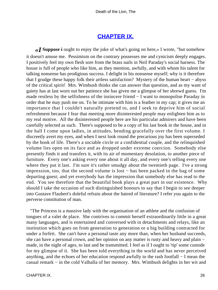## **[CHAPTER IX.](#page-34-0)**

<span id="page-26-0"></span>*«I* **Suppose i** ought to enjoy the joke of what's going on here,» I wrote, "but somehow it doesn't amuse me. Pessimism on the contrary possesses me and cynicism deeply engages. I positively feel my own flesh sore from the brass nails in Neil Paraday's social harness. The house is full of people who like him, as they mention, awfully, and with whom his talent for talking nonsense has prodigious success. I delight in his nonsense myself; why is it therefore that I grudge these happy folk their artless satisfaction? Mystery of the human heart − abyss of the critical spirit! Mrs. Wimbush thinks she can answer that question, and as my want of gaiety has at last worn out her patience she has given me a glimpse of her shrewd guess. I'm made restless by the selfishness of the insincere friend − I want to monopolise Paraday in order that he may push me on. To be intimate with him is a feather in my cap; it gives me an importance that I couldn't naturally pretend to, and I seek to deprive him of social refreshment because I fear that meeting more disinterested people may enlighten him as to my real motive. All the disinterested people here are his particular admirers and have been carefully selected as such. There's supposed to be a copy of his last book in the house, and in the hall I come upon ladies, in attitudes, bending gracefully over the first volume. I discreetly avert my eyes, and when I next look round the precarious joy has been superseded by the book of life. There's a sociable circle or a confidential couple, and the relinquished volume lies open on its face and as dropped under extreme coercion. Somebody else presently finds it and transfers it, with its air of momentary desolation, to another piece of furniture. Every one's asking every one about it all day, and every one's telling every one where they put it last. I'm sure it's rather smudgy about the twentieth page. I've a strong impression, too, that the second volume is lost − has been packed in the bag of some departing guest; and yet everybody has the impression that somebody else has read to the end. You see therefore that the beautiful book plays a great part in our existence. Why should I take the occasion of such distinguished honours to say that I begin to see deeper into Gustave Flaubert's doleful refrain about the hatred of literature? I refer you again to the perverse constitution of man.

 "The Princess is a massive lady with the organisation of an athlete and the confusion of tongues of a valet de place. She contrives to commit herself extraordinarily little in a great many languages, and is entertained and conversed with in detachments and relays, like an institution which goes on from generation to generation or a big building contracted for under a forfeit. She can't have a personal taste any more than, when her husband succeeds, she can have a personal crown, and her opinion on any matter is rusty and heavy and plain – made, in the night of ages, to last and be transmitted. I feel as if I ought to 'tip' some custode for my glimpse of it. She has been told everything in the world and has never perceived anything, and the echoes of her education respond awfully to the rash footfall − I mean the casual remark − in the cold Valhalla of her memory. Mrs. Wimbush delights in her wit and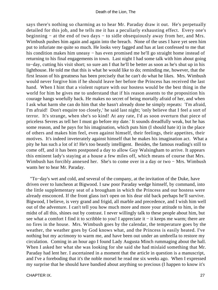says there's nothing so charming as to hear Mr. Paraday draw it out. He's perpetually detailed for this job, and he tells me it has a peculiarly exhausting effect. Every one's beginning − at the end of two days − to sidle obsequiously away from her, and Mrs. Wimbush pushes him again and again into the breach. None of the uses I have yet seen him put to infuriate me quite so much. He looks very fagged and has at last confessed to me that his condition makes him uneasy – has even promised me he'll go straight home instead of returning to his final engagements in town. Last night I had some talk with him about going to−day, cutting his visit short; so sure am I that he'll be better as soon as he's shut up in his lighthouse. He told me that this is what he would like to do; reminding me, however, that the first lesson of his greatness has been precisely that he can't do what he likes. Mrs. Wimbush would never forgive him if he should leave her before the Princess has received the last hand. When I hint that a violent rupture with our hostess would be the best thing in the world for him he gives me to understand that if his reason assents to the proposition his courage hangs woefully back. He makes no secret of being mortally afraid of her, and when I ask what harm she can do him that she hasn't already done he simply repeats: 'I'm afraid, I'm afraid! Don't enquire too closely,' he said last night; 'only believe that I feel a sort of terror. It's strange, when she's so kind! At any rate, I'd as soon overturn that piece of priceless Sevres as tell her I must go before my date.' It sounds dreadfully weak, but he has some reason, and he pays for his imagination, which puts him (I should hate it) in the place of others and makes him feel, even against himself, their feelings, their appetites, their motives. It's indeed inveterately against himself that he makes his imagination act. What a pity he has such a lot of it! He's too beastly intelligent. Besides, the famous reading's still to come off, and it has been postponed a day to allow Guy Walsingham to arrive. It appears this eminent lady's staying at a house a few miles off, which means of course that Mrs. Wimbush has forcibly annexed her. She's to come over in a day or two − Mrs. Wimbush wants her to hear Mr. Paraday.

 "To−day's wet and cold, and several of the company, at the invitation of the Duke, have driven over to luncheon at Bigwood. I saw poor Paraday wedge himself, by command, into the little supplementary seat of a brougham in which the Princess and our hostess were already ensconced. If the front glass isn't open on his dear old back perhaps he'll survive. Bigwood, I believe, is very grand and frigid, all marble and precedence, and I wish him well out of the adventure. I can't tell you how much more and more your attitude to him, in the midst of all this, shines out by contrast. I never willingly talk to these people about him, but see what a comfort I find it to scribble to you! I appreciate it – it keeps me warm; there are no fires in the house. Mrs. Wimbush goes by the calendar, the temperature goes by the weather, the weather goes by God knows what, and the Princess is easily heated. I've nothing but my acrimony to warm me, and have been out under an umbrella to restore my circulation. Coming in an hour ago I found Lady Augusta Minch rummaging about the hall. When I asked her what she was looking for she said she had mislaid something that Mr. Paraday had lent her. I ascertained in a moment that the article in question is a manuscript, and I've a foreboding that it's the noble morsel he read me six weeks ago. When I expressed my surprise that he should have bandied about anything so precious (I happen to know it's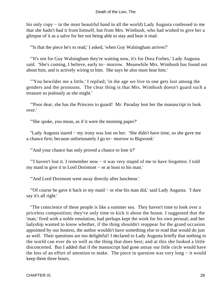#### Death of the Lion, The

his only copy – in the most beautiful hand in all the world) Lady Augusta confessed to me that she hadn't had it from himself, but from Mrs. Wimbush, who had wished to give her a glimpse of it as a salve for her not being able to stay and hear it read.

"'Is that the piece he's to read,' I asked, 'when Guy Walsingham arrives?'

 "'It's not for Guy Walsingham they're waiting now, it's for Dora Forbes,' Lady Augusta said. 'She's coming, I believe, early to− morrow. Meanwhile Mrs. Wimbush has found out about him, and is actively wiring to him. She says he also must hear him.'

 "'You bewilder me a little,' I replied; 'in the age we live in one gets lost among the genders and the pronouns. The clear thing is that Mrs. Wimbush doesn't guard such a treasure so jealously as she might.'

 "'Poor dear, she has the Princess to guard! Mr. Paraday lent her the manuscript to look over.'

"'She spoke, you mean, as if it were the morning paper?'

 "Lady Augusta stared − my irony was lost on her. 'She didn't have time, so she gave me a chance first; because unfortunately I go to− morrow to Bigwood.'

"'And your chance has only proved a chance to lose it?'

 "'I haven't lost it. I remember now − it was very stupid of me to have forgotten. I told my maid to give it to Lord Dorimont – or at least to his man.'

"'And Lord Dorimont went away directly after luncheon.'

 "'Of course he gave it back to my maid − or else his man did,' said Lady Augusta. 'I dare say it's all right.'

 "The conscience of these people is like a summer sea. They haven't time to look over a priceless composition; they've only time to kick it about the house. I suggested that the 'man,' fired with a noble emulation, had perhaps kept the work for his own perusal; and her ladyship wanted to know whether, if the thing shouldn't reappear for the grand occasion appointed by our hostess, the author wouldn't have something else to read that would do just as well. Their questions are too delightful! I declared to Lady Augusta briefly that nothing in the world can ever do so well as the thing that does best; and at this she looked a little disconcerted. But I added that if the manuscript had gone astray our little circle would have the less of an effort of attention to make. The piece in question was very long − it would keep them three hours.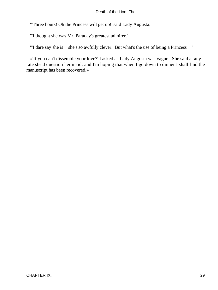"'Three hours! Oh the Princess will get up!' said Lady Augusta.

"'I thought she was Mr. Paraday's greatest admirer.'

"'I dare say she is − she's so awfully clever. But what's the use of being a Princess − '

 «'If you can't dissemble your love?' I asked as Lady Augusta was vague. She said at any rate she'd question her maid; and I'm hoping that when I go down to dinner I shall find the manuscript has been recovered.»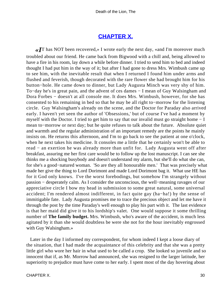## **[CHAPTER X.](#page-34-0)**

<span id="page-30-0"></span>*«I*T has NOT been recovered,» I wrote early the next day, «and I'm moreover much troubled about our friend. He came back from Bigwood with a chill and, being allowed to have a fire in his room, lay down a while before dinner. I tried to send him to bed and indeed thought I had put him in the way of it; but after I had gone to dress Mrs. Wimbush came up to see him, with the inevitable result that when I returned I found him under arms and flushed and feverish, though decorated with the rare flower she had brought him for his button−hole. He came down to dinner, but Lady Augusta Minch was very shy of him. To−day he's in great pain, and the advent of ces dames − I mean of Guy Walsingham and Dora Forbes − doesn't at all console me. It does Mrs. Wimbush, however, for she has consented to his remaining in bed so that he may be all right to−morrow for the listening circle. Guy Walsingham's already on the scene, and the Doctor for Paraday also arrived early. I haven't yet seen the author of 'Obsessions,' but of course I've had a moment by myself with the Doctor. I tried to get him to say that our invalid must go straight home − I mean to−morrow or next day; but he quite refuses to talk about the future. Absolute quiet and warmth and the regular administration of an important remedy are the points he mainly insists on. He returns this afternoon, and I'm to go back to see the patient at one o'clock, when he next takes his medicine. It consoles me a little that he certainly won't be able to read − an exertion he was already more than unfit for. Lady Augusta went off after breakfast, assuring me her first care would be to follow up the lost manuscript. I can see she thinks me a shocking busybody and doesn't understand my alarm, but she'll do what she can, for she's a good−natured woman. 'So are they all honourable men.' That was precisely what made her give the thing to Lord Dorimont and made Lord Dorimont bag it. What use HE has for it God only knows. I've the worst forebodings, but somehow I'm strangely without passion − desperately calm. As I consider the unconscious, the well−meaning ravages of our appreciative circle I bow my head in submission to some great natural, some universal accident; I'm rendered almost indifferent, in fact quite gay (ha−ha!) by the sense of immitigable fate. Lady Augusta promises me to trace the precious object and let me have it through the post by the time Paraday's well enough to play his part with it. The last evidence is that her maid did give it to his lordship's valet. One would suppose it some thrilling number of **The family budget.** Mrs. Wimbush, who's aware of the accident, is much less agitated by it than she would doubtless be were she not for the hour inevitably engrossed with Guy Walsingham.»

 Later in the day I informed my correspondent, for whom indeed I kept a loose diary of the situation, that I had made the acquaintance of this celebrity and that she was a pretty little girl who wore her hair in what used to be called a crop. She looked so juvenile and so innocent that if, as Mr. Morrow had announced, she was resigned to the larger latitude, her superiority to prejudice must have come to her early. I spent most of the day hovering about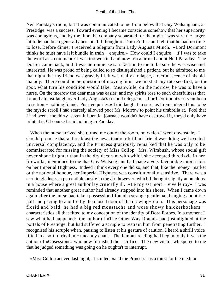Neil Paraday's room, but it was communicated to me from below that Guy Walsingham, at Prestidge, was a success. Toward evening I became conscious somehow that her superiority was contagious, and by the time the company separated for the night I was sure the larger latitude had been generally accepted. I thought of Dora Forbes and felt that he had no time to lose. Before dinner I received a telegram from Lady Augusta Minch. «Lord Dorimont thinks he must have left bundle in train − enquire.» How could I enquire − if I was to take the word as a command? I was too worried and now too alarmed about Neil Paraday. The Doctor came back, and it was an immense satisfaction to me to be sure he was wise and interested. He was proud of being called to so distinguished a patient, but he admitted to me that night that my friend was gravely ill. It was really a relapse, a recrudescence of his old malady. There could be no question of moving him: we must at any rate see first, on the spot, what turn his condition would take. Meanwhile, on the morrow, he was to have a nurse. On the morrow the dear man was easier, and my spirits rose to such cheerfulness that I could almost laugh over Lady Augusta's second telegram: «Lord Dorimont's servant been to station − nothing found. Push enquiries.» I did laugh, I'm sure, as I remembered this to be the mystic scroll I had scarcely allowed poor Mr. Morrow to point his umbrella at. Fool that I had been: the thirty−seven influential journals wouldn't have destroyed it, they'd only have printed it. Of course I said nothing to Paraday.

 When the nurse arrived she turned me out of the room, on which I went downstairs. I should premise that at breakfast the news that our brilliant friend was doing well excited universal complacency, and the Princess graciously remarked that he was only to be commiserated for missing the society of Miss Collop. Mrs. Wimbush, whose social gift never shone brighter than in the dry decorum with which she accepted this fizzle in her fireworks, mentioned to me that Guy Walsingham had made a very favourable impression on her Imperial Highness. Indeed I think every one did so, and that, like the money−market or the national honour, her Imperial Highness was constitutionally sensitive. There was a certain gladness, a perceptible bustle in the air, however, which I thought slightly anomalous in a house where a great author lay critically ill. «Le roy est mort − vive le roy»: I was reminded that another great author had already stepped into his shoes. When I came down again after the nurse had taken possession I found a strange gentleman hanging about the hall and pacing to and fro by the closed door of the drawing−room. This personage was florid and bald; he had a big red moustache and wore showy knickerbockers − characteristics all that fitted to my conception of the identity of Dora Forbes. In a moment I saw what had happened: the author of «The Other Way Round» had just alighted at the portals of Prestidge, but had suffered a scruple to restrain him from penetrating further. I recognised his scruple when, pausing to listen at his gesture of caution, I heard a shrill voice lifted in a sort of rhythmic uncanny chant. The famous reading had begun, only it was the author of «Obsessions» who now furnished the sacrifice. The new visitor whispered to me that he judged something was going on he oughtn't to interrupt.

«Miss Collop arrived last night,» I smiled, «and the Princess has a thirst for the inedit.»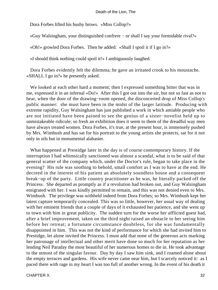Dora Forbes lifted his bushy brows. «Miss Collop?»

«Guy Walsingham, your distinguished confrere − or shall I say your formidable rival?»

«Oh!» growled Dora Forbes. Then he added: «Shall I spoil it if I go in?»

«I should think nothing could spoil it!» I ambiguously laughed.

 Dora Forbes evidently felt the dilemma; he gave an irritated crook to his moustache. «SHALL I go in?» he presently asked.

 We looked at each other hard a moment; then I expressed something bitter that was in me, expressed it in an infernal «Do!» After this I got out into the air, but not so fast as not to hear, when the door of the drawing−room opened, the disconcerted drop of Miss Collop's public manner: she must have been in the midst of the larger latitude. Producing with extreme rapidity, Guy Walsingham has just published a work in which amiable people who are not initiated have been pained to see the genius of a sister−novelist held up to unmistakeable ridicule; so fresh an exhibition does it seem to them of the dreadful way men have always treated women. Dora Forbes, it's true, at the present hour, is immensely pushed by Mrs. Wimbush and has sat for his portrait to the young artists she protects, sat for it not only in oils but in monumental alabaster.

 What happened at Prestidge later in the day is of course contemporary history. If the interruption I had whimsically sanctioned was almost a scandal, what is to be said of that general scatter of the company which, under the Doctor's rule, began to take place in the evening? His rule was soothing to behold, small comfort as I was to have at the end. He decreed in the interest of his patient an absolutely soundless house and a consequent break−up of the party. Little country practitioner as he was, he literally packed off the Princess. She departed as promptly as if a revolution had broken out, and Guy Walsingham emigrated with her. I was kindly permitted to remain, and this was not denied even to Mrs. Wimbush. The privilege was withheld indeed from Dora Forbes; so Mrs. Wimbush kept her latest capture temporarily concealed. This was so little, however, her usual way of dealing with her eminent friends that a couple of days of it exhausted her patience, and she went up to town with him in great publicity. The sudden turn for the worse her afflicted guest had, after a brief improvement, taken on the third night raised an obstacle to her seeing him before her retreat; a fortunate circumstance doubtless, for she was fundamentally disappointed in him. This was not the kind of performance for which she had invited him to Prestidge, let alone invited the Princess. I must add that none of the generous acts marking her patronage of intellectual and other merit have done so much for her reputation as her lending Neil Paraday the most beautiful of her numerous homes to die in. He took advantage to the utmost of the singular favour. Day by day I saw him sink, and I roamed alone about the empty terraces and gardens. His wife never came near him, but I scarcely noticed it: as I paced there with rage in my heart I was too full of another wrong. In the event of his death it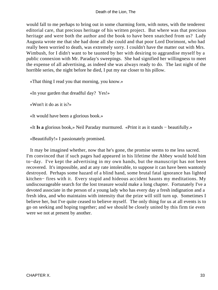would fall to me perhaps to bring out in some charming form, with notes, with the tenderest editorial care, that precious heritage of his written project. But where was that precious heritage and were both the author and the book to have been snatched from us? Lady Augusta wrote me that she had done all she could and that poor Lord Dorimont, who had really been worried to death, was extremely sorry. I couldn't have the matter out with Mrs. Wimbush, for I didn't want to be taunted by her with desiring to aggrandise myself by a public connexion with Mr. Paraday's sweepings. She had signified her willingness to meet the expense of all advertising, as indeed she was always ready to do. The last night of the horrible series, the night before he died, I put my ear closer to his pillow.

«That thing I read you that morning, you know.»

«In your garden that dreadful day? Yes!»

«Won't it do as it is?»

«It would have been a glorious book.»

«It **Is a** glorious book,» Neil Paraday murmured. «Print it as it stands − beautifully.»

«Beautifully!» I passionately promised.

 It may be imagined whether, now that he's gone, the promise seems to me less sacred. I'm convinced that if such pages had appeared in his lifetime the Abbey would hold him to−day. I've kept the advertising in my own hands, but the manuscript has not been recovered. It's impossible, and at any rate intolerable, to suppose it can have been wantonly destroyed. Perhaps some hazard of a blind hand, some brutal fatal ignorance has lighted kitchen− fires with it. Every stupid and hideous accident haunts my meditations. My undiscourageable search for the lost treasure would make a long chapter. Fortunately I've a devoted associate in the person of a young lady who has every day a fresh indignation and a fresh idea, and who maintains with intensity that the prize will still turn up. Sometimes I believe her, but I've quite ceased to believe myself. The only thing for us at all events is to go on seeking and hoping together; and we should be closely united by this firm tie even were we not at present by another.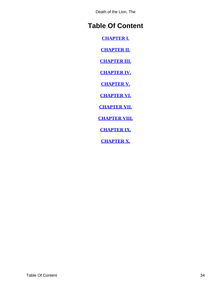Death of the Lion, The

# <span id="page-34-0"></span>**Table Of Content**

**[CHAPTER I.](#page-3-0)**

**[CHAPTER II.](#page-5-0)**

**[CHAPTER III.](#page-7-0)**

**[CHAPTER IV.](#page-10-0)**

**[CHAPTER V.](#page-13-0)**

**[CHAPTER VI.](#page-16-0)**

**[CHAPTER VII.](#page-18-0)**

**[CHAPTER VIII.](#page-23-0)**

**[CHAPTER IX.](#page-26-0)**

**[CHAPTER X.](#page-30-0)**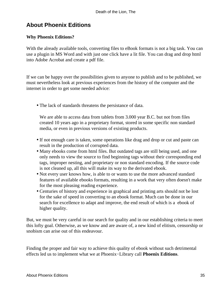# <span id="page-35-0"></span>**About Phoenix Editions**

### **Why Phoenix Editions?**

With the already available tools, converting files to eBook formats is not a big task. You can use a plugin in MS Word and with just one click have a lit file. You can drag and drop html into Adobe Acrobat and create a pdf file.

If we can be happy over the possibilities given to anyone to publish and to be published, we must nevertheless look at previous experiences from the history of the computer and the internet in order to get some needed advice:

• The lack of standards threatens the persistance of data.

We are able to access data from tablets from 3.000 year B.C. but not from files created 10 years ago in a proprietary format, stored in some specific non standard media, or even in previous versions of existing products.

- If not enough care is taken, some operations like drag and drop or cut and paste can result in the production of corrupted data.
- Many ebooks come from html files. But outdated tags are still being used, and one only needs to view the source to find beginning tags without their corresponding end tags, improper nesting, and proprietary or non standard encoding. If the source code is not cleaned up, all this will make its way to the derivated ebook.
- Not every user knows how, is able to or wants to use the more advanced standard features of available ebooks formats, resulting in a work that very often doesn't make for the most pleasing reading experience.
- Centuries of history and experience in graphical and printing arts should not be lost for the sake of speed in converting to an ebook format. Much can be done in our search for excellence to adapt and improve, the end result of which is a ebook of higher quality.

But, we must be very careful in our search for quality and in our establishing criteria to meet this lofty goal. Otherwise, as we know and are aware of, a new kind of elitism, censorship or snobism can arise out of this endeavour.

Finding the proper and fair way to achieve this quality of ebook without such detrimental effects led us to implement what we at Phoenix−Library call **Phoenix Editions**.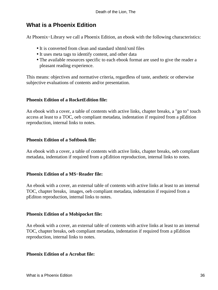## **What is a Phoenix Edition**

At Phoenix−Library we call a Phoenix Edition, an ebook with the following characteristics:

- It is converted from clean and standard xhtml/xml files
- It uses meta tags to identify content, and other data
- The available resources specific to each ebook format are used to give the reader a pleasant reading experience.

This means: objectives and normative criteria, regardless of taste, aesthetic or otherwise subjective evaluations of contents and/or presentation.

### **Phoenix Edition of a RocketEdition file:**

An ebook with a cover, a table of contents with active links, chapter breaks, a "go to" touch access at least to a TOC, oeb compliant metadata, indentation if required from a pEdition reproduction, internal links to notes.

### **Phoenix Edition of a Softbook file:**

An ebook with a cover, a table of contents with active links, chapter breaks, oeb compliant metadata, indentation if required from a pEdition reproduction, internal links to notes.

### **Phoenix Edition of a MS−Reader file:**

An ebook with a cover, an external table of contents with active links at least to an internal TOC, chapter breaks, images, oeb compliant metadata, indentation if required from a pEditon reproduction, internal links to notes.

### **Phoenix Edition of a Mobipocket file:**

An ebook with a cover, an external table of contents with active links at least to an internal TOC, chapter breaks, oeb compliant metadata, indentation if required from a pEdition reproduction, internal links to notes.

### **Phoenix Edition of a Acrobat file:**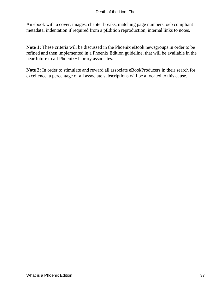An ebook with a cover, images, chapter breaks, matching page numbers, oeb compliant metadata, indentation if required from a pEdition reproduction, internal links to notes.

**Note 1:** These criteria will be discussed in the Phoenix eBook newsgroups in order to be refined and then implemented in a Phoenix Edition guideline, that will be available in the near future to all Phoenix−Library associates.

**Note 2:** In order to stimulate and reward all associate eBookProducers in their search for excellence, a percentage of all associate subscriptions will be allocated to this cause.